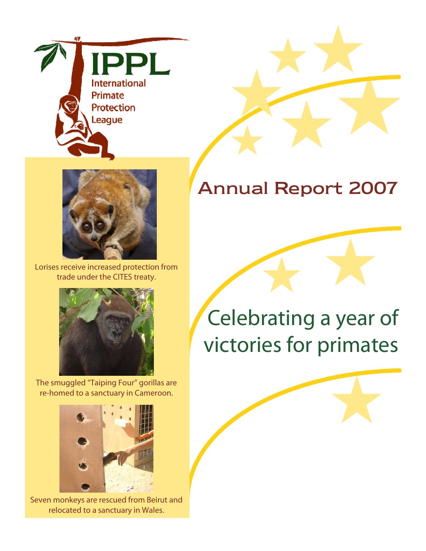



Lorises receive increased protection from trade under the CITES treaty.



The smuggled "Taiping Four" gorillas are re-homed to a sanctuary in Cameroon.



Seven monkeys are rescued from Beirut and relocated to a sanctuary in Wales.

## **Annual Report 2007**

# Celebrating a year of victories for primates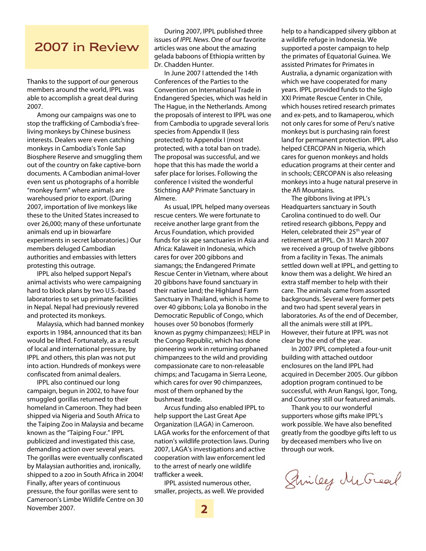#### **2007 in Review**

Thanks to the support of our generous members around the world, IPPL was able to accomplish a great deal during 2007.

Among our campaigns was one to stop the trafficking of Cambodia's freeliving monkeys by Chinese business interests. Dealers were even catching monkeys in Cambodia's Tonle Sap Biosphere Reserve and smuggling them out of the country on fake captive-born documents. A Cambodian animal-lover even sent us photographs of a horrible "monkey farm" where animals are warehoused prior to export. (During 2007, importation of live monkeys like these to the United States increased to over 26,000; many of these unfortunate animals end up in biowarfare experiments in secret laboratories.) Our members deluged Cambodian authorities and embassies with letters protesting this outrage.

IPPL also helped support Nepal's animal activists who were campaigning hard to block plans by two U.S.-based laboratories to set up primate facilities in Nepal. Nepal had previously revered and protected its monkeys.

Malaysia, which had banned monkey exports in 1984, announced that its ban would be lifted. Fortunately, as a result of local and international pressure, by IPPL and others, this plan was not put into action. Hundreds of monkeys were confiscated from animal dealers.

IPPL also continued our long campaign, begun in 2002, to have four smuggled gorillas returned to their homeland in Cameroon. They had been shipped via Nigeria and South Africa to the Taiping Zoo in Malaysia and became known as the "Taiping Four." IPPL publicized and investigated this case, demanding action over several years. The gorillas were eventually confiscated by Malaysian authorities and, ironically, shipped to a zoo in South Africa in 2004! Finally, after years of continuous pressure, the four gorillas were sent to Cameroon's Limbe Wildlife Centre on 30 November 2007.

During 2007, IPPL published three issues of IPPL News. One of our favorite articles was one about the amazing gelada baboons of Ethiopia written by Dr. Chadden Hunter.

In June 2007 I attended the 14th Conferences of the Parties to the Convention on International Trade in Endangered Species, which was held in The Hague, in the Netherlands. Among the proposals of interest to IPPL was one from Cambodia to upgrade several loris species from Appendix II (less protected) to Appendix I (most protected, with a total ban on trade). The proposal was successful, and we hope that this has made the world a safer place for lorises. Following the conference I visited the wonderful Stichting AAP Primate Sanctuary in Almere.

As usual, IPPL helped many overseas rescue centers. We were fortunate to receive another large grant from the Arcus Foundation, which provided funds for six ape sanctuaries in Asia and Africa: Kalaweit in Indonesia, which cares for over 200 gibbons and siamangs; the Endangered Primate Rescue Center in Vietnam, where about 20 gibbons have found sanctuary in their native land; the Highland Farm Sanctuary in Thailand, which is home to over 40 gibbons; Lola ya Bonobo in the Democratic Republic of Congo, which houses over 50 bonobos (formerly known as pygmy chimpanzees); HELP in the Congo Republic, which has done pioneering work in returning orphaned chimpanzees to the wild and providing compassionate care to non-releasable chimps; and Tacugama in Sierra Leone, which cares for over 90 chimpanzees, most of them orphaned by the bushmeat trade.

Arcus funding also enabled IPPL to help support the Last Great Ape Organization (LAGA) in Cameroon. LAGA works for the enforcement of that nation's wildlife protection laws. During 2007, LAGA's investigations and active cooperation with law enforcement led to the arrest of nearly one wildlife trafficker a week.

IPPL assisted numerous other, smaller, projects, as well. We provided help to a handicapped silvery gibbon at a wildlife refuge in Indonesia. We supported a poster campaign to help the primates of Equatorial Guinea. We assisted Primates for Primates in Australia, a dynamic organization with which we have cooperated for many years. IPPL provided funds to the Siglo XXI Primate Rescue Center in Chile, which houses retired research primates and ex-pets, and to Ikamaperou, which not only cares for some of Peru's native monkeys but is purchasing rain forest land for permanent protection. IPPL also helped CERCOPAN in Nigeria, which cares for guenon monkeys and holds education programs at their center and in schools; CERCOPAN is also releasing monkeys into a huge natural preserve in the Afi Mountains.

The gibbons living at IPPL's Headquarters sanctuary in South Carolina continued to do well. Our retired research gibbons, Peppy and Helen, celebrated their 25<sup>th</sup> year of retirement at IPPL. On 31 March 2007 we received a group of twelve gibbons from a facility in Texas. The animals settled down well at IPPL, and getting to know them was a delight. We hired an extra staff member to help with their care. The animals came from assorted backgrounds. Several were former pets and two had spent several years in laboratories. As of the end of December, all the animals were still at IPPL. However, their future at IPPL was not clear by the end of the year.

In 2007 IPPL completed a four-unit building with attached outdoor enclosures on the land IPPL had acquired in December 2005. Our gibbon adoption program continued to be successful, with Arun Rangsi, Igor, Tong, and Courtney still our featured animals.

Thank you to our wonderful supporters whose gifts make IPPL's work possible. We have also benefited greatly from the goodbye gifts left to us by deceased members who live on through our work.

Sincey McGreat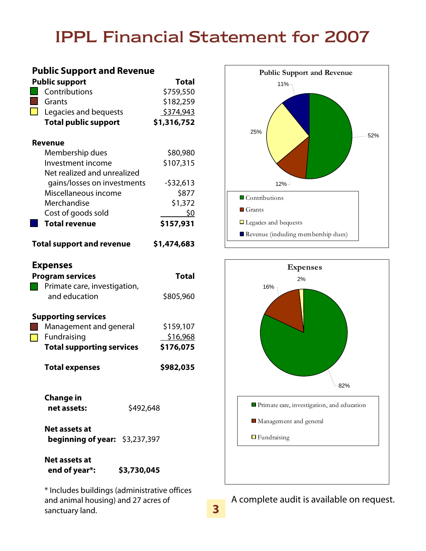### **IPPL Financial Statement for 2007**

| <b>Public Support and Revenue</b>               |                                                  |              |  |
|-------------------------------------------------|--------------------------------------------------|--------------|--|
|                                                 | <b>Public support</b>                            | <b>Total</b> |  |
|                                                 | Contributions                                    | \$759,550    |  |
|                                                 | Grants                                           | \$182,259    |  |
|                                                 | Legacies and bequests                            | \$374,943    |  |
|                                                 | <b>Total public support</b>                      | \$1,316,752  |  |
| Revenue                                         |                                                  |              |  |
|                                                 |                                                  |              |  |
|                                                 | Membership dues                                  | \$80,980     |  |
|                                                 | Investment income                                | \$107,315    |  |
|                                                 | Net realized and unrealized                      |              |  |
|                                                 | gains/losses on investments                      | $-532,613$   |  |
|                                                 | Miscellaneous income                             | \$877        |  |
|                                                 | Merchandise                                      | \$1,372      |  |
|                                                 | Cost of goods sold                               | \$0          |  |
|                                                 | <b>Total revenue</b>                             | \$157,931    |  |
| <b>Total support and revenue</b><br>\$1,474,683 |                                                  |              |  |
| <b>Expenses</b>                                 |                                                  |              |  |
|                                                 | <b>Program services</b>                          | Total        |  |
|                                                 | Primate care, investigation,                     |              |  |
|                                                 | and education                                    | \$805,960    |  |
|                                                 |                                                  |              |  |
| <b>Supporting services</b>                      |                                                  |              |  |
|                                                 | Management and general                           | \$159,107    |  |
|                                                 | Fundraising                                      | \$16,968     |  |
|                                                 | <b>Total supporting services</b>                 | \$176,075    |  |
|                                                 | <b>Total expenses</b>                            | \$982,035    |  |
|                                                 |                                                  |              |  |
|                                                 | <b>Change in</b>                                 |              |  |
|                                                 | net assets:                                      | \$492,648    |  |
|                                                 | Net assets at<br>beginning of year: $$3,237,397$ |              |  |
|                                                 | Net assets at<br>\$3,730,045<br>end of year*:    |              |  |
| * Includes buildings (administrative offices    |                                                  |              |  |

and animal housing) and 27 acres of sanctuary land.





A complete audit is available on request.

**3**